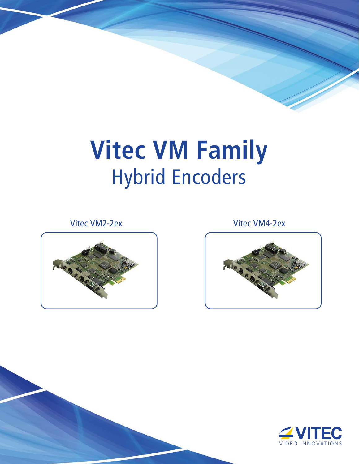# **Vitec VM Family** Hybrid Encoders



Vitec VM2-2ex Vitec VM4-2ex



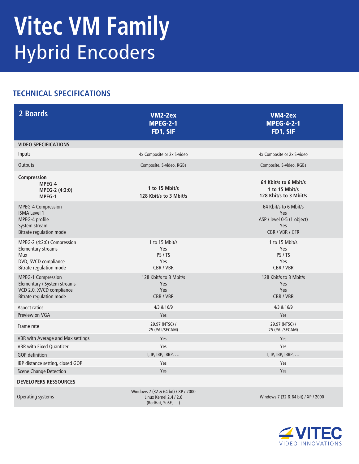## **Vitec VM Family** Hybrid Encoders

### **TECHNICAL SPECIFICATIONS**

| 2 Boards                                                                                                                        | <b>VM2-2ex</b><br><b>MPEG-2-1</b><br>FD1, SIF                                     | VM4-2ex<br><b>MPEG-4-2-1</b><br>FD1, SIF                                             |
|---------------------------------------------------------------------------------------------------------------------------------|-----------------------------------------------------------------------------------|--------------------------------------------------------------------------------------|
| <b>VIDEO SPECIFICATIONS</b>                                                                                                     |                                                                                   |                                                                                      |
| Inputs                                                                                                                          | 4x Composite or 2x S-video                                                        | 4x Composite or 2x S-video                                                           |
| Outputs                                                                                                                         | Composite, S-video, RGBs                                                          | Composite, S-video, RGBs                                                             |
| Compression<br>MPEG-4<br>MPEG-2 (4:2:0)<br>MPEG-1                                                                               | 1 to 15 Mbit/s<br>128 Kbit/s to 3 Mbit/s                                          | 64 Kbit/s to 6 Mbit/s<br>1 to 15 Mbit/s<br>128 Kbit/s to 3 Mbit/s                    |
| <b>MPEG-4 Compression</b><br><b>ISMA Level 1</b><br>MPEG-4 profile<br>System stream<br><b>Bitrate regulation mode</b>           |                                                                                   | 64 Kbit/s to 6 Mbit/s<br>Yes<br>ASP / level 0-5 (1 object)<br>Yes<br>CBR / VBR / CFR |
| MPEG-2 (4:2:0) Compression<br><b>Elementary streams</b><br><b>Mux</b><br>DVD, SVCD compliance<br><b>Bitrate regulation mode</b> | 1 to 15 Mbit/s<br>Yes<br>PS / TS<br>Yes<br>CBR / VBR                              | 1 to 15 Mbit/s<br>Yes<br>PS/TS<br>Yes<br>CBR / VBR                                   |
| MPEG-1 Compression<br>Elementary / System streams<br>VCD 2.0, XVCD compliance<br><b>Bitrate regulation mode</b>                 | 128 Kbit/s to 3 Mbit/s<br>Yes<br>Yes<br>CBR / VBR                                 | 128 Kbit/s to 3 Mbit/s<br>Yes<br>Yes<br>CBR/VBR                                      |
| Aspect ratios                                                                                                                   | 4/3 & 16/9                                                                        | 4/3 & 16/9                                                                           |
| Preview on VGA<br>Frame rate                                                                                                    | Yes<br>29.97 (NTSC) /<br>25 (PAL/SECAM)                                           | Yes<br>29.97 (NTSC) /<br>25 (PAL/SECAM)                                              |
| VBR with Average and Max settings                                                                                               | Yes                                                                               | Yes                                                                                  |
| <b>VBR with Fixed Quantizer</b>                                                                                                 | Yes                                                                               | Yes                                                                                  |
| <b>GOP</b> definition                                                                                                           | I, IP, IBP, IBBP,                                                                 | I, IP, IBP, IBBP,                                                                    |
| IBP distance setting, closed GOP                                                                                                | Yes                                                                               | Yes                                                                                  |
| <b>Scene Change Detection</b>                                                                                                   | Yes                                                                               | Yes                                                                                  |
| <b>DEVELOPERS RESSOURCES</b>                                                                                                    |                                                                                   |                                                                                      |
| Operating systems                                                                                                               | Windows 7 (32 & 64 bit) / XP / 2000<br>Linux Kernel 2.4 / 2.6<br>(RedHat, SuSE, ) | Windows 7 (32 & 64 bit) / XP / 2000                                                  |

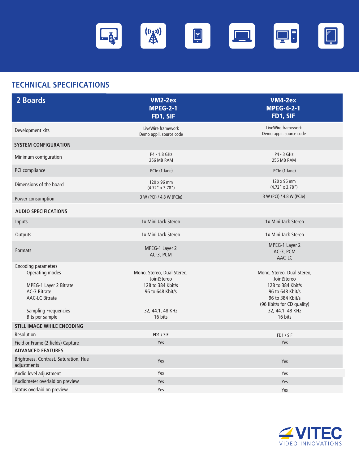

### **TECHNICAL SPECIFICATIONS**

| 2 Boards                                                                                                                                                           | <b>VM2-2ex</b><br><b>MPEG-2-1</b><br>FD1, SIF                                                                     | <b>VM4-2ex</b><br><b>MPEG-4-2-1</b><br>FD1, SIF                                                                                                                     |
|--------------------------------------------------------------------------------------------------------------------------------------------------------------------|-------------------------------------------------------------------------------------------------------------------|---------------------------------------------------------------------------------------------------------------------------------------------------------------------|
| Development kits                                                                                                                                                   | LiveWire framework<br>Demo appli. source code                                                                     | LiveWire framework<br>Demo appli. source code                                                                                                                       |
| <b>SYSTEM CONFIGURATION</b>                                                                                                                                        |                                                                                                                   |                                                                                                                                                                     |
| Minimum configuration                                                                                                                                              | P4 - 1.8 GHz<br>256 MB RAM                                                                                        | P4 - 3 GHz<br>256 MB RAM                                                                                                                                            |
| PCI compliance                                                                                                                                                     | PCle (1 lane)                                                                                                     | PCIe (1 lane)                                                                                                                                                       |
| Dimensions of the board                                                                                                                                            | 120 x 96 mm<br>$(4.72'' \times 3.78'')$                                                                           | 120 x 96 mm<br>$(4.72'' \times 3.78'')$                                                                                                                             |
| Power consumption                                                                                                                                                  | 3 W (PCI) / 4.8 W (PCIe)                                                                                          | 3 W (PCI) / 4.8 W (PCIe)                                                                                                                                            |
| <b>AUDIO SPECIFICATIONS</b>                                                                                                                                        |                                                                                                                   |                                                                                                                                                                     |
| Inputs                                                                                                                                                             | 1x Mini Jack Stereo                                                                                               | 1x Mini Jack Stereo                                                                                                                                                 |
| Outputs                                                                                                                                                            | 1x Mini Jack Stereo                                                                                               | 1x Mini Jack Stereo                                                                                                                                                 |
| <b>Formats</b>                                                                                                                                                     | MPEG-1 Layer 2<br>AC-3, PCM                                                                                       | MPEG-1 Layer 2<br>AC-3, PCM<br>AAC-LC                                                                                                                               |
| <b>Encoding parameters</b><br>Operating modes<br>MPEG-1 Layer 2 Bitrate<br>AC-3 Bitrate<br><b>AAC-LC Bitrate</b><br><b>Sampling Frequencies</b><br>Bits per sample | Mono, Stereo, Dual Stereo,<br>JointStereo<br>128 to 384 Kbit/s<br>96 to 648 Kbit/s<br>32, 44.1, 48 KHz<br>16 bits | Mono, Stereo, Dual Stereo,<br>JointStereo<br>128 to 384 Kbit/s<br>96 to 648 Kbit/s<br>96 to 384 Kbit/s<br>(96 Kbit/s for CD quality)<br>32, 44.1, 48 KHz<br>16 bits |
| <b>STILL IMAGE WHILE ENCODING</b>                                                                                                                                  |                                                                                                                   |                                                                                                                                                                     |
| Resolution<br>Field or Frame (2 fields) Capture                                                                                                                    | FD1 / SIF<br>Yes                                                                                                  | FD1 / SIF<br>Yes                                                                                                                                                    |
| <b>ADVANCED FEATURES</b><br>Brightness, Contrast, Saturation, Hue<br>adjustments                                                                                   | Yes                                                                                                               | Yes                                                                                                                                                                 |
| Audio level adjustment                                                                                                                                             | Yes                                                                                                               | Yes                                                                                                                                                                 |
| Audiometer overlaid on preview                                                                                                                                     | Yes                                                                                                               | Yes                                                                                                                                                                 |
| Status overlaid on preview                                                                                                                                         | Yes                                                                                                               | Yes                                                                                                                                                                 |